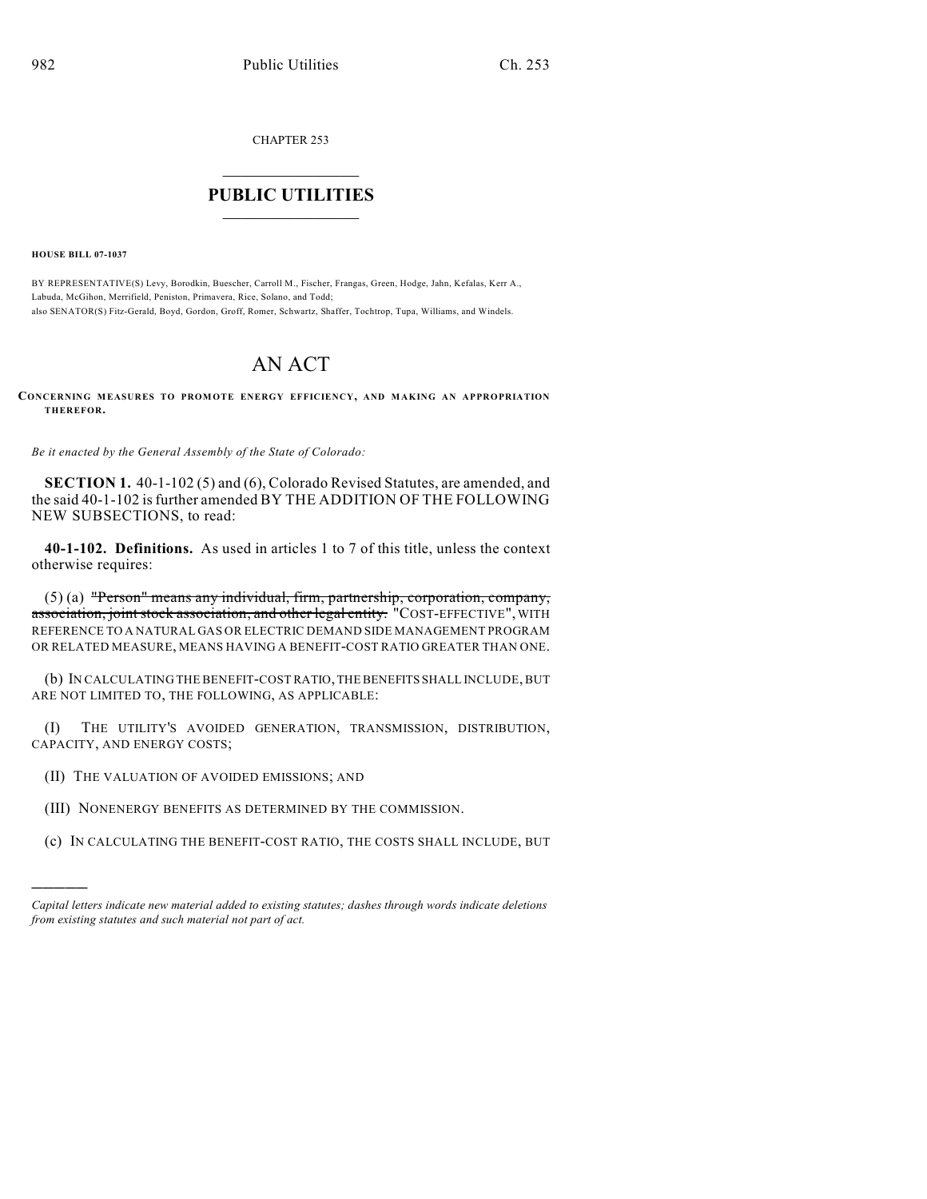CHAPTER 253

## $\mathcal{L}_\text{max}$  . The set of the set of the set of the set of the set of the set of the set of the set of the set of the set of the set of the set of the set of the set of the set of the set of the set of the set of the set **PUBLIC UTILITIES** \_\_\_\_\_\_\_\_\_\_\_\_\_\_\_

**HOUSE BILL 07-1037**

)))))

BY REPRESENTATIVE(S) Levy, Borodkin, Buescher, Carroll M., Fischer, Frangas, Green, Hodge, Jahn, Kefalas, Kerr A., Labuda, McGihon, Merrifield, Peniston, Primavera, Rice, Solano, and Todd; also SENATOR(S) Fitz-Gerald, Boyd, Gordon, Groff, Romer, Schwartz, Shaffer, Tochtrop, Tupa, Williams, and Windels.

## AN ACT

**CONCERNING MEASURES TO PROMOTE ENERGY EFFICIENCY, AND MAKING AN APPROPRIATION THEREFOR.**

*Be it enacted by the General Assembly of the State of Colorado:*

**SECTION 1.** 40-1-102 (5) and (6), Colorado Revised Statutes, are amended, and the said 40-1-102 is further amended BY THE ADDITION OF THE FOLLOWING NEW SUBSECTIONS, to read:

**40-1-102. Definitions.** As used in articles 1 to 7 of this title, unless the context otherwise requires:

(5) (a) "Person" means any individual, firm, partnership, corporation, company, association, joint stock association, and other legal entity. "COST-EFFECTIVE", WITH REFERENCE TO A NATURAL GAS OR ELECTRIC DEMAND SIDE MANAGEMENT PROGRAM OR RELATED MEASURE, MEANS HAVING A BENEFIT-COST RATIO GREATER THAN ONE.

(b) IN CALCULATING THE BENEFIT-COST RATIO, THE BENEFITS SHALL INCLUDE, BUT ARE NOT LIMITED TO, THE FOLLOWING, AS APPLICABLE:

(I) THE UTILITY'S AVOIDED GENERATION, TRANSMISSION, DISTRIBUTION, CAPACITY, AND ENERGY COSTS;

- (II) THE VALUATION OF AVOIDED EMISSIONS; AND
- (III) NONENERGY BENEFITS AS DETERMINED BY THE COMMISSION.
- (c) IN CALCULATING THE BENEFIT-COST RATIO, THE COSTS SHALL INCLUDE, BUT

*Capital letters indicate new material added to existing statutes; dashes through words indicate deletions from existing statutes and such material not part of act.*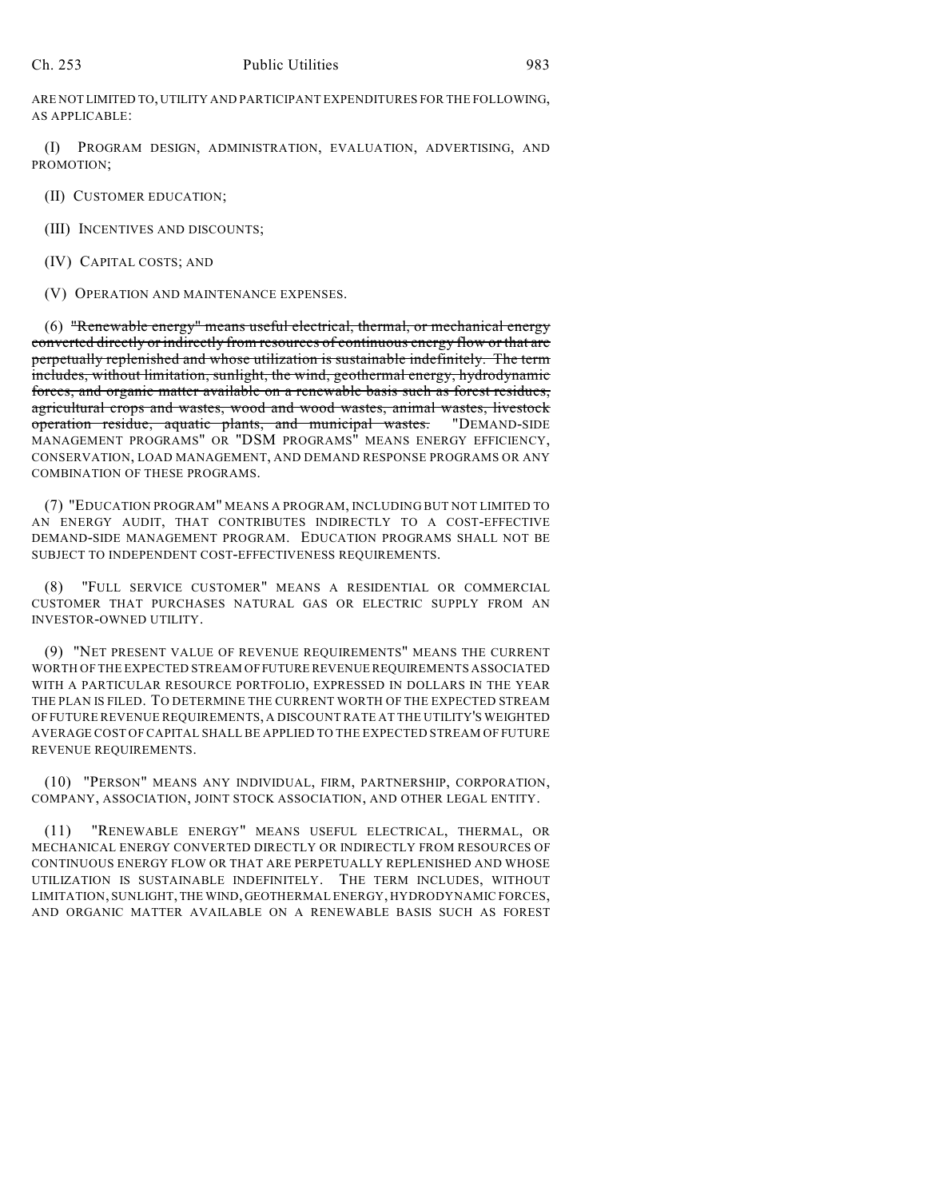ARE NOT LIMITED TO, UTILITY AND PARTICIPANT EXPENDITURES FOR THE FOLLOWING, AS APPLICABLE:

(I) PROGRAM DESIGN, ADMINISTRATION, EVALUATION, ADVERTISING, AND PROMOTION;

(II) CUSTOMER EDUCATION;

(III) INCENTIVES AND DISCOUNTS;

(IV) CAPITAL COSTS; AND

(V) OPERATION AND MAINTENANCE EXPENSES.

(6) "Renewable energy" means useful electrical, thermal, or mechanical energy converted directly or indirectly from resources of continuous energy flow or that are perpetually replenished and whose utilization is sustainable indefinitely. The term includes, without limitation, sunlight, the wind, geothermal energy, hydrodynamic forces, and organic matter available on a renewable basis such as forest residues, agricultural crops and wastes, wood and wood wastes, animal wastes, livestock operation residue, aquatic plants, and municipal wastes. "DEMAND-SIDE MANAGEMENT PROGRAMS" OR "DSM PROGRAMS" MEANS ENERGY EFFICIENCY, CONSERVATION, LOAD MANAGEMENT, AND DEMAND RESPONSE PROGRAMS OR ANY COMBINATION OF THESE PROGRAMS.

(7) "EDUCATION PROGRAM" MEANS A PROGRAM, INCLUDING BUT NOT LIMITED TO AN ENERGY AUDIT, THAT CONTRIBUTES INDIRECTLY TO A COST-EFFECTIVE DEMAND-SIDE MANAGEMENT PROGRAM. EDUCATION PROGRAMS SHALL NOT BE SUBJECT TO INDEPENDENT COST-EFFECTIVENESS REQUIREMENTS.

(8) "FULL SERVICE CUSTOMER" MEANS A RESIDENTIAL OR COMMERCIAL CUSTOMER THAT PURCHASES NATURAL GAS OR ELECTRIC SUPPLY FROM AN INVESTOR-OWNED UTILITY.

(9) "NET PRESENT VALUE OF REVENUE REQUIREMENTS" MEANS THE CURRENT WORTH OF THE EXPECTED STREAM OF FUTURE REVENUE REQUIREMENTS ASSOCIATED WITH A PARTICULAR RESOURCE PORTFOLIO, EXPRESSED IN DOLLARS IN THE YEAR THE PLAN IS FILED. TO DETERMINE THE CURRENT WORTH OF THE EXPECTED STREAM OF FUTURE REVENUE REQUIREMENTS, A DISCOUNT RATE AT THE UTILITY'S WEIGHTED AVERAGE COST OFCAPITAL SHALL BE APPLIED TO THE EXPECTED STREAM OF FUTURE REVENUE REQUIREMENTS.

(10) "PERSON" MEANS ANY INDIVIDUAL, FIRM, PARTNERSHIP, CORPORATION, COMPANY, ASSOCIATION, JOINT STOCK ASSOCIATION, AND OTHER LEGAL ENTITY.

(11) "RENEWABLE ENERGY" MEANS USEFUL ELECTRICAL, THERMAL, OR MECHANICAL ENERGY CONVERTED DIRECTLY OR INDIRECTLY FROM RESOURCES OF CONTINUOUS ENERGY FLOW OR THAT ARE PERPETUALLY REPLENISHED AND WHOSE UTILIZATION IS SUSTAINABLE INDEFINITELY. THE TERM INCLUDES, WITHOUT LIMITATION, SUNLIGHT, THE WIND, GEOTHERMAL ENERGY, HYDRODYNAMIC FORCES, AND ORGANIC MATTER AVAILABLE ON A RENEWABLE BASIS SUCH AS FOREST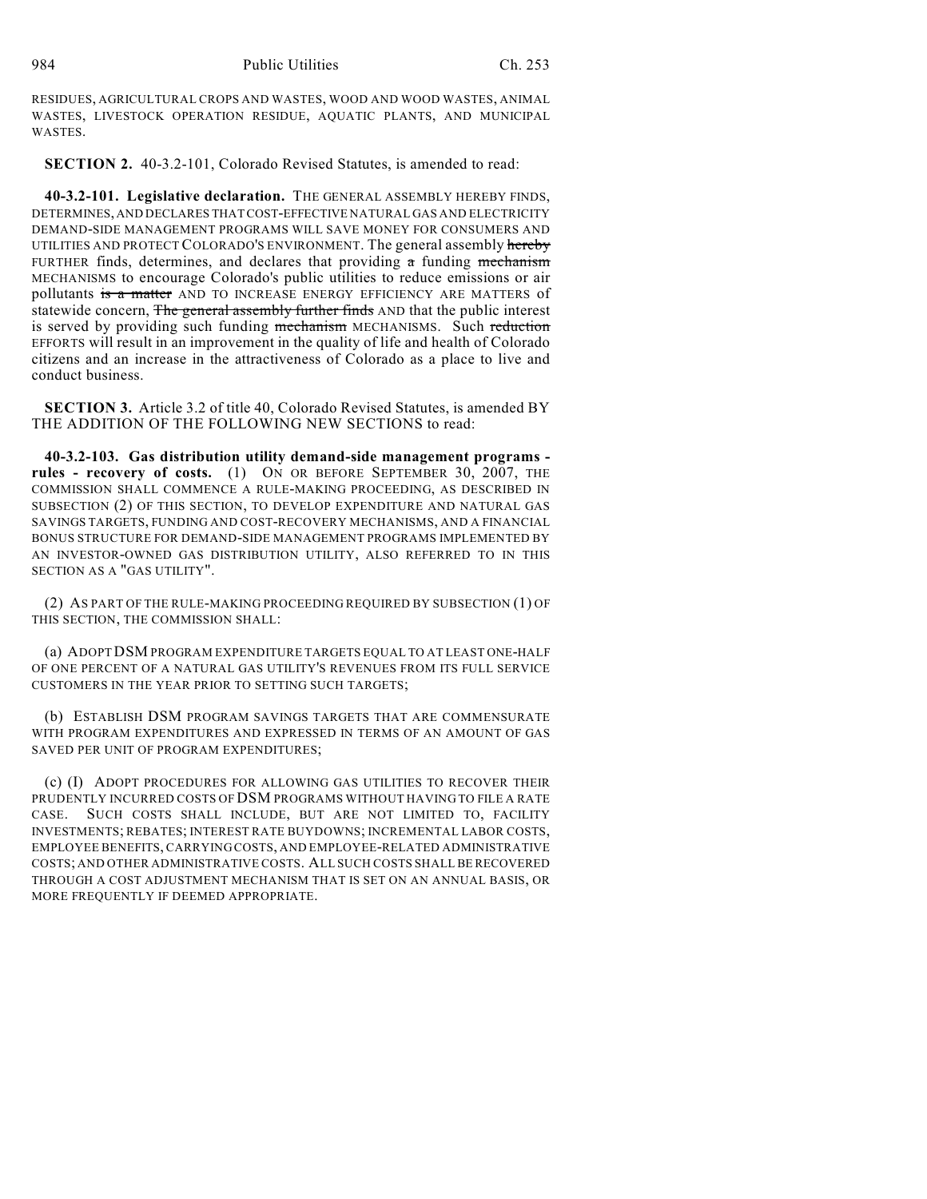RESIDUES, AGRICULTURAL CROPS AND WASTES, WOOD AND WOOD WASTES, ANIMAL WASTES, LIVESTOCK OPERATION RESIDUE, AQUATIC PLANTS, AND MUNICIPAL WASTES.

**SECTION 2.** 40-3.2-101, Colorado Revised Statutes, is amended to read:

**40-3.2-101. Legislative declaration.** THE GENERAL ASSEMBLY HEREBY FINDS, DETERMINES, AND DECLARES THAT COST-EFFECTIVE NATURAL GAS AND ELECTRICITY DEMAND-SIDE MANAGEMENT PROGRAMS WILL SAVE MONEY FOR CONSUMERS AND UTILITIES AND PROTECT COLORADO'S ENVIRONMENT. The general assembly hereby FURTHER finds, determines, and declares that providing  $\pi$  funding mechanism MECHANISMS to encourage Colorado's public utilities to reduce emissions or air pollutants is a matter AND TO INCREASE ENERGY EFFICIENCY ARE MATTERS of statewide concern, The general assembly further finds AND that the public interest is served by providing such funding mechanism MECHANISMS. Such reduction EFFORTS will result in an improvement in the quality of life and health of Colorado citizens and an increase in the attractiveness of Colorado as a place to live and conduct business.

**SECTION 3.** Article 3.2 of title 40, Colorado Revised Statutes, is amended BY THE ADDITION OF THE FOLLOWING NEW SECTIONS to read:

**40-3.2-103. Gas distribution utility demand-side management programs rules - recovery of costs.** (1) ON OR BEFORE SEPTEMBER 30, 2007, THE COMMISSION SHALL COMMENCE A RULE-MAKING PROCEEDING, AS DESCRIBED IN SUBSECTION (2) OF THIS SECTION, TO DEVELOP EXPENDITURE AND NATURAL GAS SAVINGS TARGETS, FUNDING AND COST-RECOVERY MECHANISMS, AND A FINANCIAL BONUS STRUCTURE FOR DEMAND-SIDE MANAGEMENT PROGRAMS IMPLEMENTED BY AN INVESTOR-OWNED GAS DISTRIBUTION UTILITY, ALSO REFERRED TO IN THIS SECTION AS A "GAS UTILITY".

(2) AS PART OF THE RULE-MAKING PROCEEDING REQUIRED BY SUBSECTION (1) OF THIS SECTION, THE COMMISSION SHALL:

(a) ADOPT DSM PROGRAM EXPENDITURE TARGETS EQUAL TO AT LEAST ONE-HALF OF ONE PERCENT OF A NATURAL GAS UTILITY'S REVENUES FROM ITS FULL SERVICE CUSTOMERS IN THE YEAR PRIOR TO SETTING SUCH TARGETS;

(b) ESTABLISH DSM PROGRAM SAVINGS TARGETS THAT ARE COMMENSURATE WITH PROGRAM EXPENDITURES AND EXPRESSED IN TERMS OF AN AMOUNT OF GAS SAVED PER UNIT OF PROGRAM EXPENDITURES;

(c) (I) ADOPT PROCEDURES FOR ALLOWING GAS UTILITIES TO RECOVER THEIR PRUDENTLY INCURRED COSTS OF DSM PROGRAMS WITHOUT HAVING TO FILE A RATE CASE. SUCH COSTS SHALL INCLUDE, BUT ARE NOT LIMITED TO, FACILITY INVESTMENTS; REBATES; INTEREST RATE BUYDOWNS; INCREMENTAL LABOR COSTS, EMPLOYEE BENEFITS, CARRYING COSTS, AND EMPLOYEE-RELATED ADMINISTRATIVE COSTS; AND OTHER ADMINISTRATIVE COSTS. ALL SUCH COSTS SHALL BE RECOVERED THROUGH A COST ADJUSTMENT MECHANISM THAT IS SET ON AN ANNUAL BASIS, OR MORE FREQUENTLY IF DEEMED APPROPRIATE.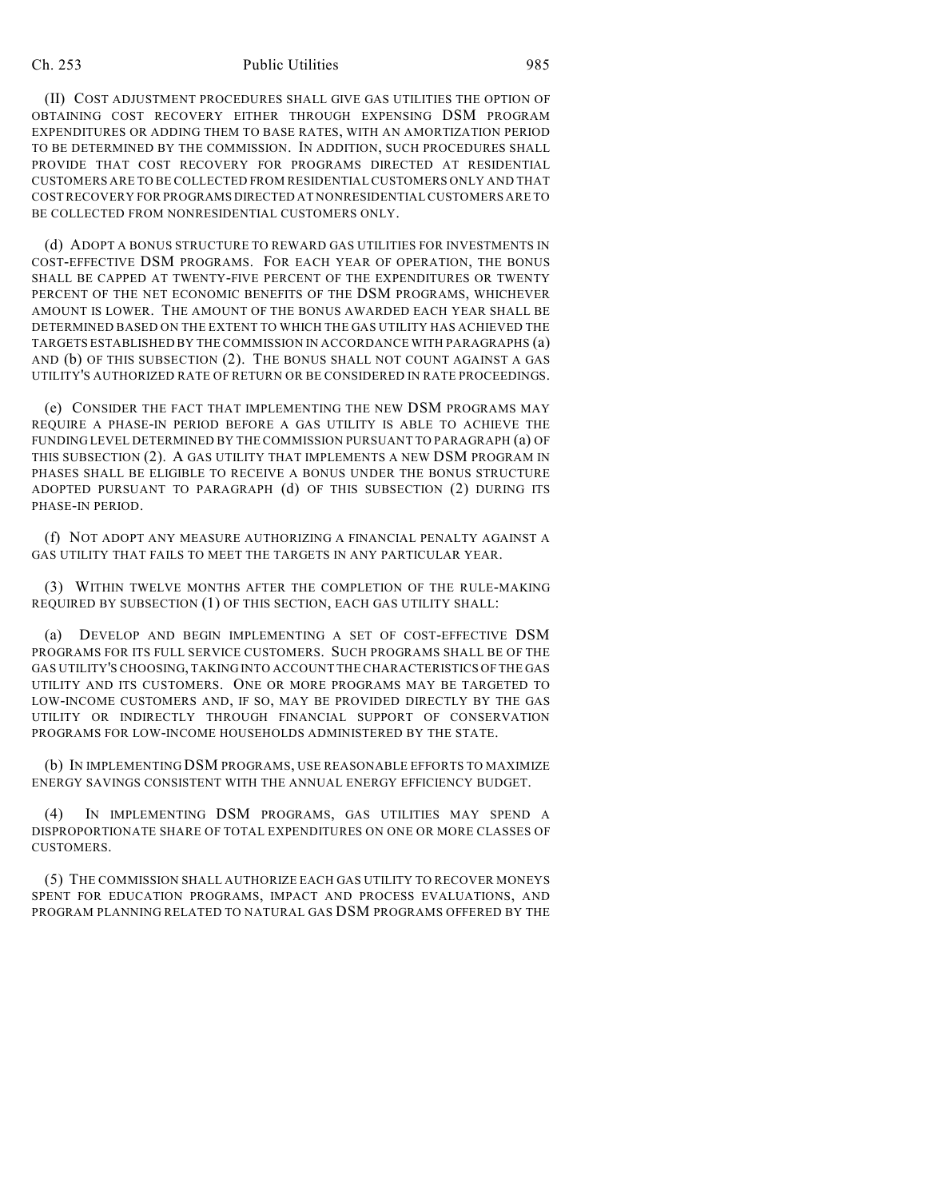## Ch. 253 Public Utilities 985

(II) COST ADJUSTMENT PROCEDURES SHALL GIVE GAS UTILITIES THE OPTION OF OBTAINING COST RECOVERY EITHER THROUGH EXPENSING DSM PROGRAM EXPENDITURES OR ADDING THEM TO BASE RATES, WITH AN AMORTIZATION PERIOD TO BE DETERMINED BY THE COMMISSION. IN ADDITION, SUCH PROCEDURES SHALL PROVIDE THAT COST RECOVERY FOR PROGRAMS DIRECTED AT RESIDENTIAL CUSTOMERS ARE TO BE COLLECTED FROM RESIDENTIAL CUSTOMERS ONLY AND THAT COST RECOVERY FOR PROGRAMS DIRECTED AT NONRESIDENTIAL CUSTOMERS ARE TO BE COLLECTED FROM NONRESIDENTIAL CUSTOMERS ONLY.

(d) ADOPT A BONUS STRUCTURE TO REWARD GAS UTILITIES FOR INVESTMENTS IN COST-EFFECTIVE DSM PROGRAMS. FOR EACH YEAR OF OPERATION, THE BONUS SHALL BE CAPPED AT TWENTY-FIVE PERCENT OF THE EXPENDITURES OR TWENTY PERCENT OF THE NET ECONOMIC BENEFITS OF THE DSM PROGRAMS, WHICHEVER AMOUNT IS LOWER. THE AMOUNT OF THE BONUS AWARDED EACH YEAR SHALL BE DETERMINED BASED ON THE EXTENT TO WHICH THE GAS UTILITY HAS ACHIEVED THE TARGETS ESTABLISHED BY THE COMMISSION IN ACCORDANCE WITH PARAGRAPHS (a) AND (b) OF THIS SUBSECTION (2). THE BONUS SHALL NOT COUNT AGAINST A GAS UTILITY'S AUTHORIZED RATE OF RETURN OR BE CONSIDERED IN RATE PROCEEDINGS.

(e) CONSIDER THE FACT THAT IMPLEMENTING THE NEW DSM PROGRAMS MAY REQUIRE A PHASE-IN PERIOD BEFORE A GAS UTILITY IS ABLE TO ACHIEVE THE FUNDING LEVEL DETERMINED BY THE COMMISSION PURSUANT TO PARAGRAPH (a) OF THIS SUBSECTION (2). A GAS UTILITY THAT IMPLEMENTS A NEW DSM PROGRAM IN PHASES SHALL BE ELIGIBLE TO RECEIVE A BONUS UNDER THE BONUS STRUCTURE ADOPTED PURSUANT TO PARAGRAPH (d) OF THIS SUBSECTION (2) DURING ITS PHASE-IN PERIOD.

(f) NOT ADOPT ANY MEASURE AUTHORIZING A FINANCIAL PENALTY AGAINST A GAS UTILITY THAT FAILS TO MEET THE TARGETS IN ANY PARTICULAR YEAR.

(3) WITHIN TWELVE MONTHS AFTER THE COMPLETION OF THE RULE-MAKING REQUIRED BY SUBSECTION (1) OF THIS SECTION, EACH GAS UTILITY SHALL:

(a) DEVELOP AND BEGIN IMPLEMENTING A SET OF COST-EFFECTIVE DSM PROGRAMS FOR ITS FULL SERVICE CUSTOMERS. SUCH PROGRAMS SHALL BE OF THE GAS UTILITY'S CHOOSING, TAKING INTO ACCOUNT THE CHARACTERISTICS OF THE GAS UTILITY AND ITS CUSTOMERS. ONE OR MORE PROGRAMS MAY BE TARGETED TO LOW-INCOME CUSTOMERS AND, IF SO, MAY BE PROVIDED DIRECTLY BY THE GAS UTILITY OR INDIRECTLY THROUGH FINANCIAL SUPPORT OF CONSERVATION PROGRAMS FOR LOW-INCOME HOUSEHOLDS ADMINISTERED BY THE STATE.

(b) IN IMPLEMENTING DSM PROGRAMS, USE REASONABLE EFFORTS TO MAXIMIZE ENERGY SAVINGS CONSISTENT WITH THE ANNUAL ENERGY EFFICIENCY BUDGET.

(4) IN IMPLEMENTING DSM PROGRAMS, GAS UTILITIES MAY SPEND A DISPROPORTIONATE SHARE OF TOTAL EXPENDITURES ON ONE OR MORE CLASSES OF CUSTOMERS.

(5) THE COMMISSION SHALL AUTHORIZE EACH GAS UTILITY TO RECOVER MONEYS SPENT FOR EDUCATION PROGRAMS, IMPACT AND PROCESS EVALUATIONS, AND PROGRAM PLANNING RELATED TO NATURAL GAS DSM PROGRAMS OFFERED BY THE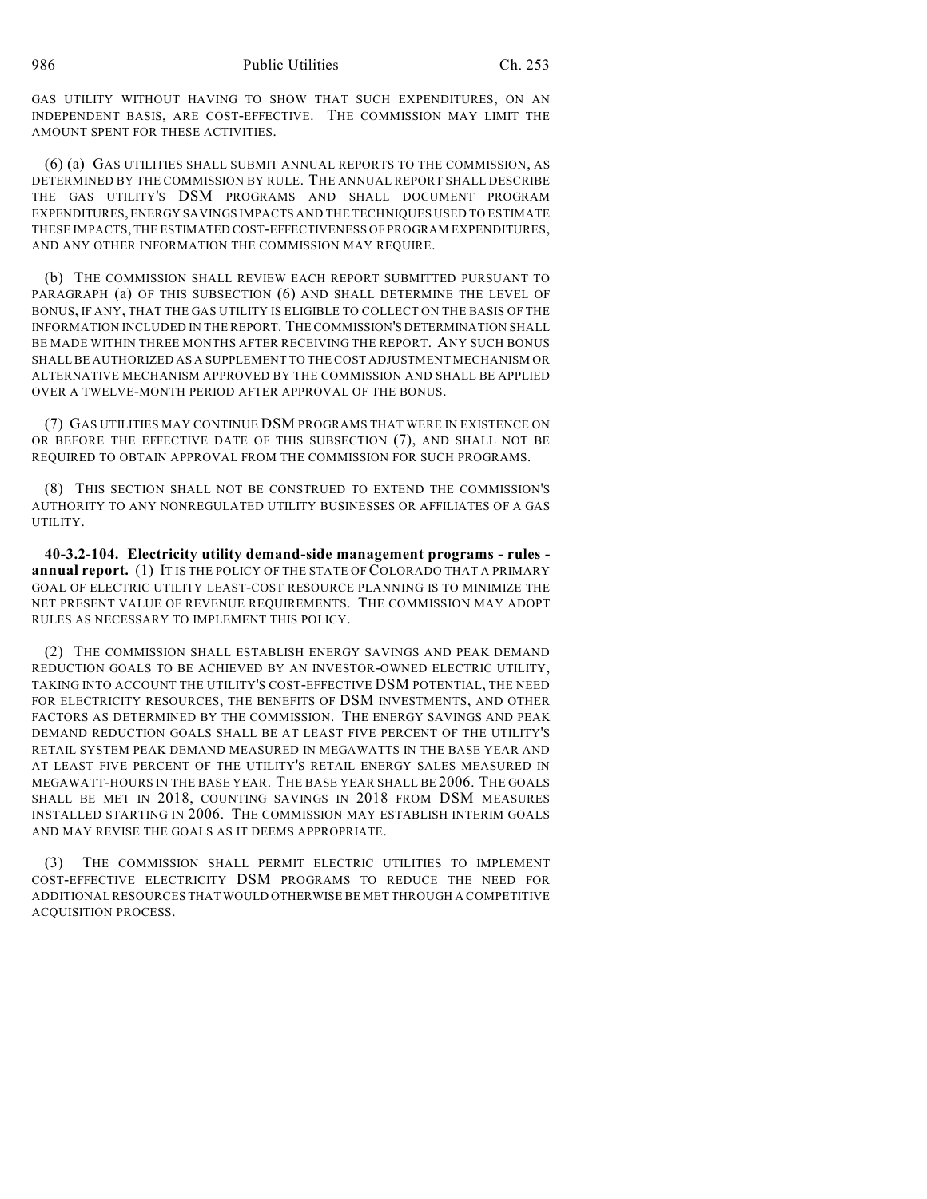GAS UTILITY WITHOUT HAVING TO SHOW THAT SUCH EXPENDITURES, ON AN INDEPENDENT BASIS, ARE COST-EFFECTIVE. THE COMMISSION MAY LIMIT THE AMOUNT SPENT FOR THESE ACTIVITIES.

(6) (a) GAS UTILITIES SHALL SUBMIT ANNUAL REPORTS TO THE COMMISSION, AS DETERMINED BY THE COMMISSION BY RULE. THE ANNUAL REPORT SHALL DESCRIBE THE GAS UTILITY'S DSM PROGRAMS AND SHALL DOCUMENT PROGRAM EXPENDITURES, ENERGY SAVINGS IMPACTS AND THE TECHNIQUES USED TO ESTIMATE THESE IMPACTS, THE ESTIMATED COST-EFFECTIVENESS OF PROGRAM EXPENDITURES, AND ANY OTHER INFORMATION THE COMMISSION MAY REQUIRE.

(b) THE COMMISSION SHALL REVIEW EACH REPORT SUBMITTED PURSUANT TO PARAGRAPH (a) OF THIS SUBSECTION (6) AND SHALL DETERMINE THE LEVEL OF BONUS, IF ANY, THAT THE GAS UTILITY IS ELIGIBLE TO COLLECT ON THE BASIS OF THE INFORMATION INCLUDED IN THE REPORT. THE COMMISSION'S DETERMINATION SHALL BE MADE WITHIN THREE MONTHS AFTER RECEIVING THE REPORT. ANY SUCH BONUS SHALL BE AUTHORIZED AS A SUPPLEMENT TO THE COST ADJUSTMENT MECHANISM OR ALTERNATIVE MECHANISM APPROVED BY THE COMMISSION AND SHALL BE APPLIED OVER A TWELVE-MONTH PERIOD AFTER APPROVAL OF THE BONUS.

(7) GAS UTILITIES MAY CONTINUE DSM PROGRAMS THAT WERE IN EXISTENCE ON OR BEFORE THE EFFECTIVE DATE OF THIS SUBSECTION (7), AND SHALL NOT BE REQUIRED TO OBTAIN APPROVAL FROM THE COMMISSION FOR SUCH PROGRAMS.

(8) THIS SECTION SHALL NOT BE CONSTRUED TO EXTEND THE COMMISSION'S AUTHORITY TO ANY NONREGULATED UTILITY BUSINESSES OR AFFILIATES OF A GAS UTILITY.

**40-3.2-104. Electricity utility demand-side management programs - rules annual report.** (1) IT IS THE POLICY OF THE STATE OF COLORADO THAT A PRIMARY GOAL OF ELECTRIC UTILITY LEAST-COST RESOURCE PLANNING IS TO MINIMIZE THE NET PRESENT VALUE OF REVENUE REQUIREMENTS. THE COMMISSION MAY ADOPT RULES AS NECESSARY TO IMPLEMENT THIS POLICY.

(2) THE COMMISSION SHALL ESTABLISH ENERGY SAVINGS AND PEAK DEMAND REDUCTION GOALS TO BE ACHIEVED BY AN INVESTOR-OWNED ELECTRIC UTILITY, TAKING INTO ACCOUNT THE UTILITY'S COST-EFFECTIVE DSM POTENTIAL, THE NEED FOR ELECTRICITY RESOURCES, THE BENEFITS OF DSM INVESTMENTS, AND OTHER FACTORS AS DETERMINED BY THE COMMISSION. THE ENERGY SAVINGS AND PEAK DEMAND REDUCTION GOALS SHALL BE AT LEAST FIVE PERCENT OF THE UTILITY'S RETAIL SYSTEM PEAK DEMAND MEASURED IN MEGAWATTS IN THE BASE YEAR AND AT LEAST FIVE PERCENT OF THE UTILITY'S RETAIL ENERGY SALES MEASURED IN MEGAWATT-HOURS IN THE BASE YEAR. THE BASE YEAR SHALL BE 2006. THE GOALS SHALL BE MET IN 2018, COUNTING SAVINGS IN 2018 FROM DSM MEASURES INSTALLED STARTING IN 2006. THE COMMISSION MAY ESTABLISH INTERIM GOALS AND MAY REVISE THE GOALS AS IT DEEMS APPROPRIATE.

(3) THE COMMISSION SHALL PERMIT ELECTRIC UTILITIES TO IMPLEMENT COST-EFFECTIVE ELECTRICITY DSM PROGRAMS TO REDUCE THE NEED FOR ADDITIONAL RESOURCES THAT WOULD OTHERWISE BE MET THROUGH A COMPETITIVE ACQUISITION PROCESS.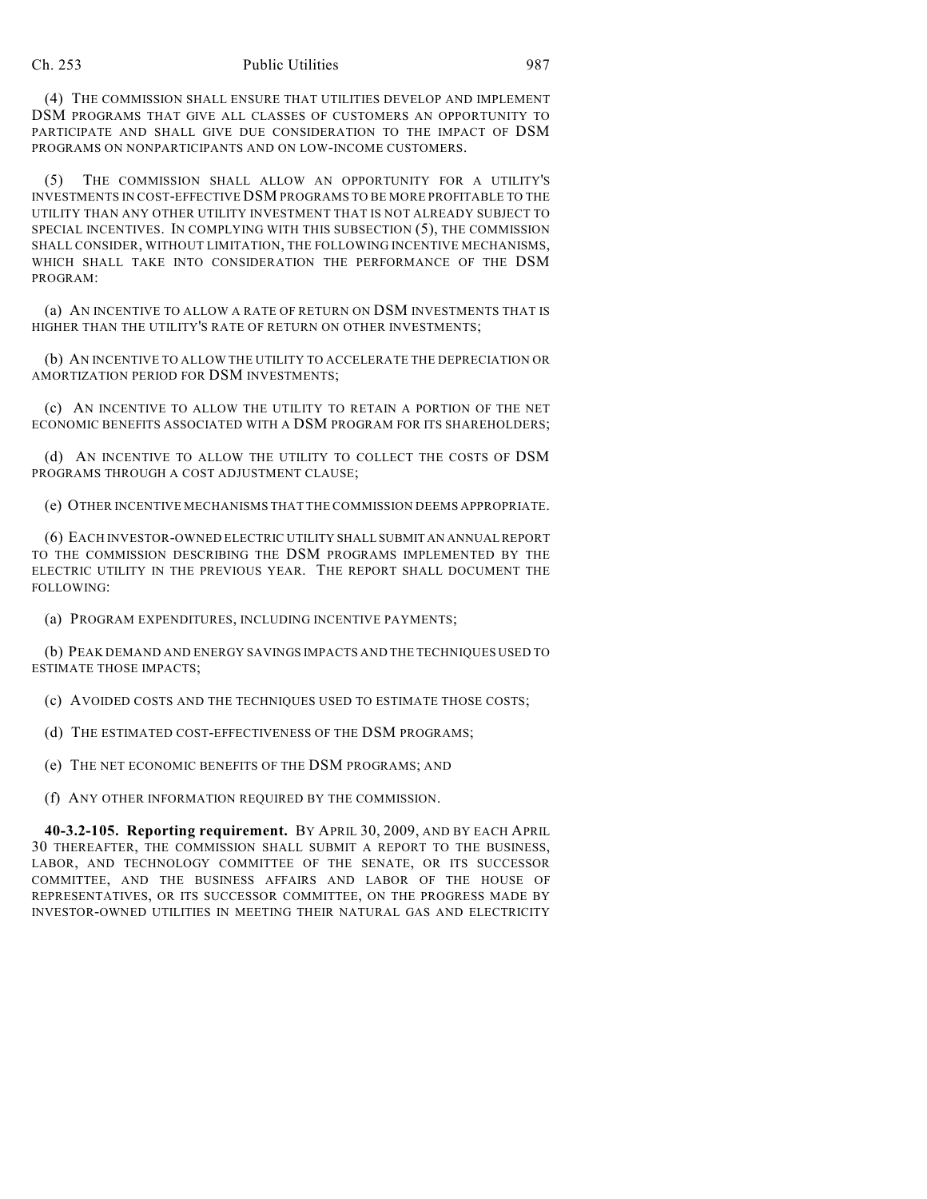(4) THE COMMISSION SHALL ENSURE THAT UTILITIES DEVELOP AND IMPLEMENT DSM PROGRAMS THAT GIVE ALL CLASSES OF CUSTOMERS AN OPPORTUNITY TO PARTICIPATE AND SHALL GIVE DUE CONSIDERATION TO THE IMPACT OF DSM PROGRAMS ON NONPARTICIPANTS AND ON LOW-INCOME CUSTOMERS.

(5) THE COMMISSION SHALL ALLOW AN OPPORTUNITY FOR A UTILITY'S INVESTMENTS IN COST-EFFECTIVE DSM PROGRAMS TO BE MORE PROFITABLE TO THE UTILITY THAN ANY OTHER UTILITY INVESTMENT THAT IS NOT ALREADY SUBJECT TO SPECIAL INCENTIVES. IN COMPLYING WITH THIS SUBSECTION (5), THE COMMISSION SHALL CONSIDER, WITHOUT LIMITATION, THE FOLLOWING INCENTIVE MECHANISMS, WHICH SHALL TAKE INTO CONSIDERATION THE PERFORMANCE OF THE DSM PROGRAM:

(a) AN INCENTIVE TO ALLOW A RATE OF RETURN ON DSM INVESTMENTS THAT IS HIGHER THAN THE UTILITY'S RATE OF RETURN ON OTHER INVESTMENTS;

(b) AN INCENTIVE TO ALLOW THE UTILITY TO ACCELERATE THE DEPRECIATION OR AMORTIZATION PERIOD FOR DSM INVESTMENTS;

(c) AN INCENTIVE TO ALLOW THE UTILITY TO RETAIN A PORTION OF THE NET ECONOMIC BENEFITS ASSOCIATED WITH A DSM PROGRAM FOR ITS SHAREHOLDERS;

(d) AN INCENTIVE TO ALLOW THE UTILITY TO COLLECT THE COSTS OF DSM PROGRAMS THROUGH A COST ADJUSTMENT CLAUSE;

(e) OTHER INCENTIVE MECHANISMS THAT THE COMMISSION DEEMS APPROPRIATE.

(6) EACH INVESTOR-OWNED ELECTRIC UTILITY SHALL SUBMIT AN ANNUAL REPORT TO THE COMMISSION DESCRIBING THE DSM PROGRAMS IMPLEMENTED BY THE ELECTRIC UTILITY IN THE PREVIOUS YEAR. THE REPORT SHALL DOCUMENT THE FOLLOWING:

(a) PROGRAM EXPENDITURES, INCLUDING INCENTIVE PAYMENTS;

(b) PEAK DEMAND AND ENERGY SAVINGS IMPACTS AND THE TECHNIQUES USED TO ESTIMATE THOSE IMPACTS;

(c) AVOIDED COSTS AND THE TECHNIQUES USED TO ESTIMATE THOSE COSTS;

(d) THE ESTIMATED COST-EFFECTIVENESS OF THE DSM PROGRAMS;

(e) THE NET ECONOMIC BENEFITS OF THE DSM PROGRAMS; AND

(f) ANY OTHER INFORMATION REQUIRED BY THE COMMISSION.

**40-3.2-105. Reporting requirement.** BY APRIL 30, 2009, AND BY EACH APRIL 30 THEREAFTER, THE COMMISSION SHALL SUBMIT A REPORT TO THE BUSINESS, LABOR, AND TECHNOLOGY COMMITTEE OF THE SENATE, OR ITS SUCCESSOR COMMITTEE, AND THE BUSINESS AFFAIRS AND LABOR OF THE HOUSE OF REPRESENTATIVES, OR ITS SUCCESSOR COMMITTEE, ON THE PROGRESS MADE BY INVESTOR-OWNED UTILITIES IN MEETING THEIR NATURAL GAS AND ELECTRICITY